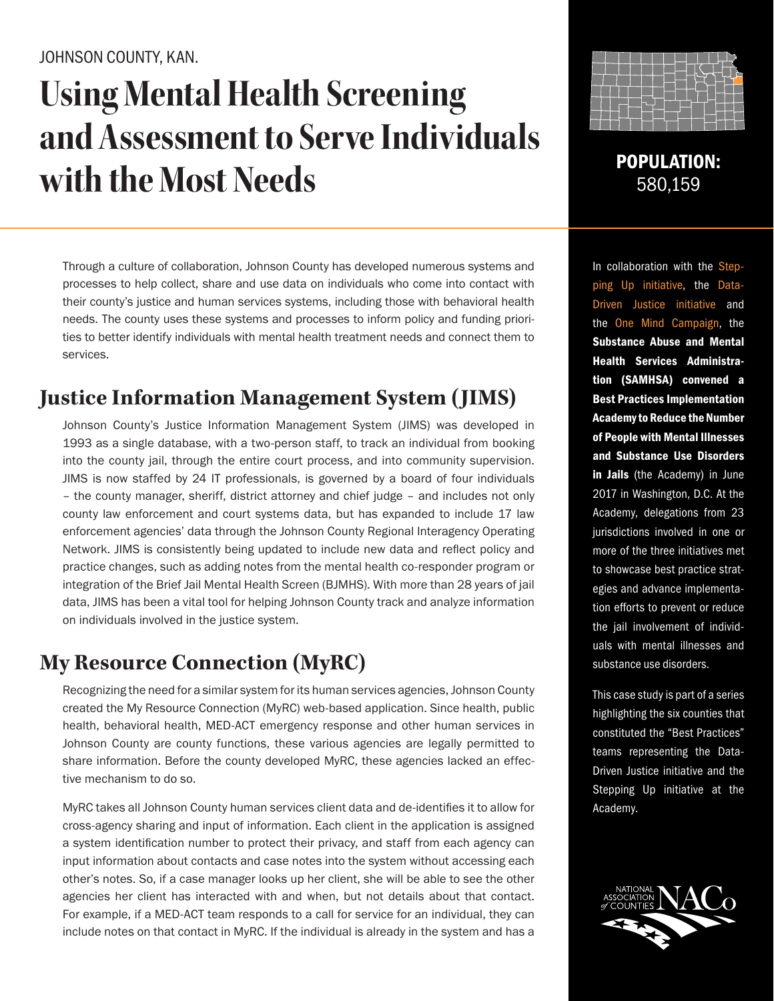# **Using Mental Health Screening and Assessment to Serve Individuals with the Most Needs** POPULATION:

Through a culture of collaboration, Johnson County has developed numerous systems and processes to help collect, share and use data on individuals who come into contact with their county's justice and human services systems, including those with behavioral health needs. The county uses these systems and processes to inform policy and funding priorities to better identify individuals with mental health treatment needs and connect them to services.

# **Justice Information Management System (JIMS)**

Johnson County's Justice Information Management System (JIMS) was developed in 1993 as a single database, with a two-person staff, to track an individual from booking into the county jail, through the entire court process, and into community supervision. JIMS is now staffed by 24 IT professionals, is governed by a board of four individuals – the county manager, sheriff, district attorney and chief judge – and includes not only county law enforcement and court systems data, but has expanded to include 17 law enforcement agencies' data through the Johnson County Regional Interagency Operating Network. JIMS is consistently being updated to include new data and reflect policy and practice changes, such as adding notes from the mental health co-responder program or integration of the Brief Jail Mental Health Screen (BJMHS). With more than 28 years of jail data, JIMS has been a vital tool for helping Johnson County track and analyze information on individuals involved in the justice system.

## **My Resource Connection (MyRC)**

Recognizing the need for a similar system for its human services agencies, Johnson County created the My Resource Connection (MyRC) web-based application. Since health, public health, behavioral health, MED-ACT emergency response and other human services in Johnson County are county functions, these various agencies are legally permitted to share information. Before the county developed MyRC, these agencies lacked an effective mechanism to do so.

MyRC takes all Johnson County human services client data and de-identifies it to allow for cross-agency sharing and input of information. Each client in the application is assigned a system identification number to protect their privacy, and staff from each agency can input information about contacts and case notes into the system without accessing each other's notes. So, if a case manager looks up her client, she will be able to see the other agencies her client has interacted with and when, but not details about that contact. For example, if a MED-ACT team responds to a call for service for an individual, they can include notes on that contact in MyRC. If the individual is already in the system and has a



580,159

In collaboration with the Stepping Up initiative, the Data-Driven Justice initiative and the One Mind Campaign, the Substance Abuse and Mental Health Services Administration (SAMHSA) convened a Best Practices Implementation Academy to Reduce the Number of People with Mental Illnesses and Substance Use Disorders in Jails (the Academy) in June 2017 in Washington, D.C. At the Academy, delegations from 23 jurisdictions involved in one or more of the three initiatives met to showcase best practice strategies and advance implementation efforts to prevent or reduce the jail involvement of individuals with mental illnesses and substance use disorders.

This case study is part of a series highlighting the six counties that constituted the "Best Practices" teams representing the Data-Driven Justice initiative and the Stepping Up initiative at the Academy.

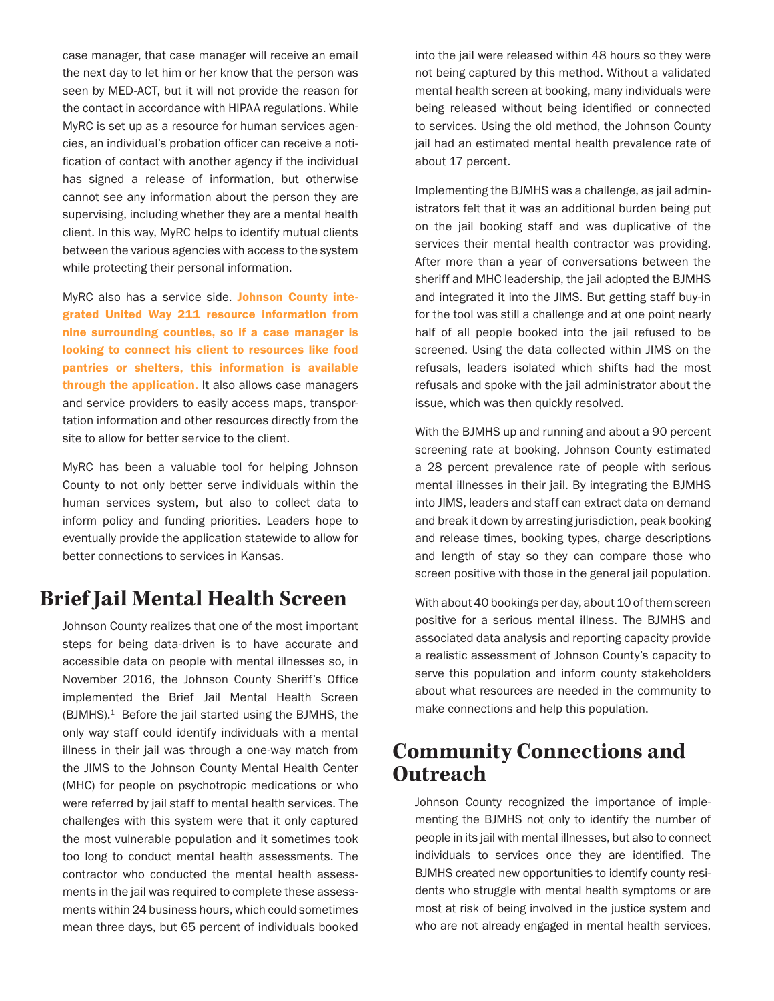case manager, that case manager will receive an email the next day to let him or her know that the person was seen by MED-ACT, but it will not provide the reason for the contact in accordance with HIPAA regulations. While MyRC is set up as a resource for human services agencies, an individual's probation officer can receive a notification of contact with another agency if the individual has signed a release of information, but otherwise cannot see any information about the person they are supervising, including whether they are a mental health client. In this way, MyRC helps to identify mutual clients between the various agencies with access to the system while protecting their personal information.

MyRC also has a service side. Johnson County integrated United Way 211 resource information from nine surrounding counties, so if a case manager is looking to connect his client to resources like food pantries or shelters, this information is available through the application. It also allows case managers and service providers to easily access maps, transportation information and other resources directly from the site to allow for better service to the client.

MyRC has been a valuable tool for helping Johnson County to not only better serve individuals within the human services system, but also to collect data to inform policy and funding priorities. Leaders hope to eventually provide the application statewide to allow for better connections to services in Kansas.

### **Brief Jail Mental Health Screen**

Johnson County realizes that one of the most important steps for being data-driven is to have accurate and accessible data on people with mental illnesses so, in November 2016, the Johnson County Sheriff's Office implemented the Brief Jail Mental Health Screen (BJMHS).<sup>1</sup> Before the jail started using the BJMHS, the only way staff could identify individuals with a mental illness in their jail was through a one-way match from the JIMS to the Johnson County Mental Health Center (MHC) for people on psychotropic medications or who were referred by jail staff to mental health services. The challenges with this system were that it only captured the most vulnerable population and it sometimes took too long to conduct mental health assessments. The contractor who conducted the mental health assessments in the jail was required to complete these assessments within 24 business hours, which could sometimes mean three days, but 65 percent of individuals booked

into the jail were released within 48 hours so they were not being captured by this method. Without a validated mental health screen at booking, many individuals were being released without being identified or connected to services. Using the old method, the Johnson County jail had an estimated mental health prevalence rate of about 17 percent.

Implementing the BJMHS was a challenge, as jail administrators felt that it was an additional burden being put on the jail booking staff and was duplicative of the services their mental health contractor was providing. After more than a year of conversations between the sheriff and MHC leadership, the jail adopted the BJMHS and integrated it into the JIMS. But getting staff buy-in for the tool was still a challenge and at one point nearly half of all people booked into the jail refused to be screened. Using the data collected within JIMS on the refusals, leaders isolated which shifts had the most refusals and spoke with the jail administrator about the issue, which was then quickly resolved.

With the BJMHS up and running and about a 90 percent screening rate at booking, Johnson County estimated a 28 percent prevalence rate of people with serious mental illnesses in their jail. By integrating the BJMHS into JIMS, leaders and staff can extract data on demand and break it down by arresting jurisdiction, peak booking and release times, booking types, charge descriptions and length of stay so they can compare those who screen positive with those in the general jail population.

With about 40 bookings per day, about 10 of them screen positive for a serious mental illness. The BJMHS and associated data analysis and reporting capacity provide a realistic assessment of Johnson County's capacity to serve this population and inform county stakeholders about what resources are needed in the community to make connections and help this population.

## **Community Connections and Outreach**

Johnson County recognized the importance of implementing the BJMHS not only to identify the number of people in its jail with mental illnesses, but also to connect individuals to services once they are identified. The BJMHS created new opportunities to identify county residents who struggle with mental health symptoms or are most at risk of being involved in the justice system and who are not already engaged in mental health services,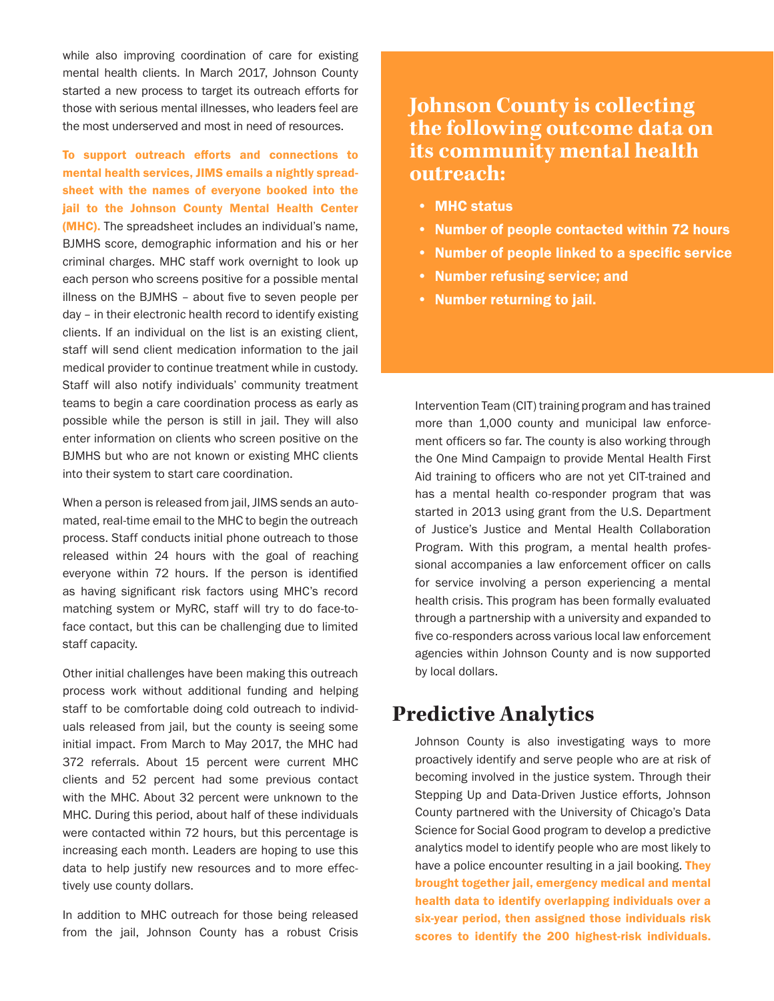while also improving coordination of care for existing mental health clients. In March 2017, Johnson County started a new process to target its outreach efforts for those with serious mental illnesses, who leaders feel are the most underserved and most in need of resources.

To support outreach efforts and connections to mental health services, JIMS emails a nightly spreadsheet with the names of everyone booked into the jail to the Johnson County Mental Health Center (MHC). The spreadsheet includes an individual's name, BJMHS score, demographic information and his or her criminal charges. MHC staff work overnight to look up each person who screens positive for a possible mental illness on the BJMHS – about five to seven people per day – in their electronic health record to identify existing clients. If an individual on the list is an existing client, staff will send client medication information to the jail medical provider to continue treatment while in custody. Staff will also notify individuals' community treatment teams to begin a care coordination process as early as possible while the person is still in jail. They will also enter information on clients who screen positive on the BJMHS but who are not known or existing MHC clients into their system to start care coordination.

When a person is released from jail, JIMS sends an automated, real-time email to the MHC to begin the outreach process. Staff conducts initial phone outreach to those released within 24 hours with the goal of reaching everyone within 72 hours. If the person is identified as having significant risk factors using MHC's record matching system or MyRC, staff will try to do face-toface contact, but this can be challenging due to limited staff capacity.

Other initial challenges have been making this outreach process work without additional funding and helping staff to be comfortable doing cold outreach to individuals released from jail, but the county is seeing some initial impact. From March to May 2017, the MHC had 372 referrals. About 15 percent were current MHC clients and 52 percent had some previous contact with the MHC. About 32 percent were unknown to the MHC. During this period, about half of these individuals were contacted within 72 hours, but this percentage is increasing each month. Leaders are hoping to use this data to help justify new resources and to more effectively use county dollars.

In addition to MHC outreach for those being released from the jail, Johnson County has a robust Crisis

#### **Johnson County is collecting the following outcome data on its community mental health outreach:**

- MHC status
- Number of people contacted within 72 hours
- Number of people linked to a specific service
- Number refusing service; and
- Number returning to jail.

Intervention Team (CIT) training program and has trained more than 1,000 county and municipal law enforcement officers so far. The county is also working through the One Mind Campaign to provide Mental Health First Aid training to officers who are not yet CIT-trained and has a mental health co-responder program that was started in 2013 using grant from the U.S. Department of Justice's Justice and Mental Health Collaboration Program. With this program, a mental health professional accompanies a law enforcement officer on calls for service involving a person experiencing a mental health crisis. This program has been formally evaluated through a partnership with a university and expanded to five co-responders across various local law enforcement agencies within Johnson County and is now supported by local dollars.

#### **Predictive Analytics**

Johnson County is also investigating ways to more proactively identify and serve people who are at risk of becoming involved in the justice system. Through their Stepping Up and Data-Driven Justice efforts, Johnson County partnered with the University of Chicago's Data Science for Social Good program to develop a predictive analytics model to identify people who are most likely to have a police encounter resulting in a jail booking. They brought together jail, emergency medical and mental health data to identify overlapping individuals over a six-year period, then assigned those individuals risk scores to identify the 200 highest-risk individuals.